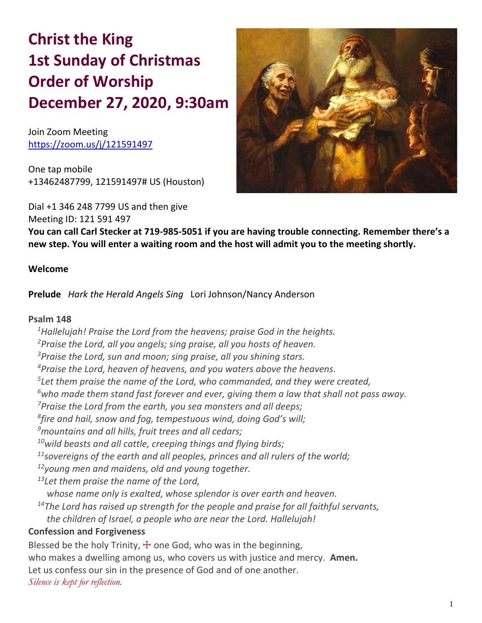# **Christ the King 1st Sunday of Christmas Order of Worship December 27, 2020, 9:30am**

Join Zoom Meeting https://zoom.us/j/121591497

Meeting ID: 121 591 497

One tap mobile +13462487799, 121591497# US (Houston)

Dial +1 346 248 7799 US and then give



**You can call Carl Stecker at 719-985-5051 if you are having trouble connecting. Remember there's a new step. You will enter a waiting room and the host will admit you to the meeting shortly.**

## **Welcome**

**Prelude** *Hark the Herald Angels Sing*Lori Johnson/Nancy Anderson

#### **Psalm 148**

*Hallelujah! Praise the Lord from the heavens; praise God in the heights. Praise the Lord, all you angels; sing praise, all you hosts of heaven. Praise the Lord, sun and moon; sing praise, all you shining stars. Praise the Lord, heaven of heavens, and you waters above the heavens. Let them praise the name of the Lord, who commanded, and they were created, who made them stand fast forever and ever, giving them a law that shall not pass away. Praise the Lord from the earth, you sea monsters and all deeps; fire and hail, snow and fog, tempestuous wind, doing God's will; mountains and all hills, fruit trees and all cedars; wild beasts and all cattle, creeping things and flying birds; sovereigns of the earth and all peoples, princes and all rulers of the world; young men and maidens, old and young together. Let them praise the name of the Lord, whose name only is exalted, whose splendor is over earth and heaven. The Lord has raised up strength for the people and praise for all faithful servants, the children of Israel, a people who are near the Lord. Hallelujah!* **Confession and Forgiveness** Blessed be the holy Trinity,  $\pm$  one God, who was in the beginning, who makes a dwelling among us, who covers us with justice and mercy. **Amen.**

Let us confess our sin in the presence of God and of one another.

*Silence is kept for reflection.*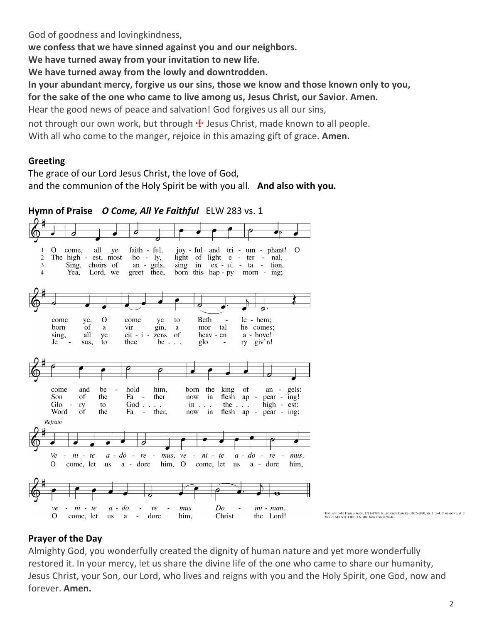God of goodness and lovingkindness,

**we confess that we have sinned against you and our neighbors.**

**We have turned away from your invitation to new life.**

**We have turned away from the lowly and downtrodden.**

**In your abundant mercy, forgive us our sins, those we know and those known only to you,**

**for the sake of the one who came to live among us, Jesus Christ, our Savior. Amen.**

Hear the good news of peace and salvation! God forgives us all our sins,

not through our own work, but through  $+$  Jesus Christ, made known to all people. With all who come to the manger, rejoice in this amazing gift of grace. **Amen.**

# **Greeting**

The grace of our Lord Jesus Christ, the love of God, and the communion of the Holy Spirit be with you all. **And also with you.**



Text: attr. John Francis Wade, 1711–1786; tr. Frederick Oakeley, 1802–1880, sts. 1, 3–4; tr. unknown, st. 2<br>Music: ADESTE FIDELES, attr. John Francis Wade

# **Prayer of the Day**

Almighty God, you wonderfully created the dignity of human nature and yet more wonderfully restored it. In your mercy, let us share the divine life of the one who came to share our humanity, Jesus Christ, your Son, our Lord, who lives and reigns with you and the Holy Spirit, one God, now and forever. **Amen.**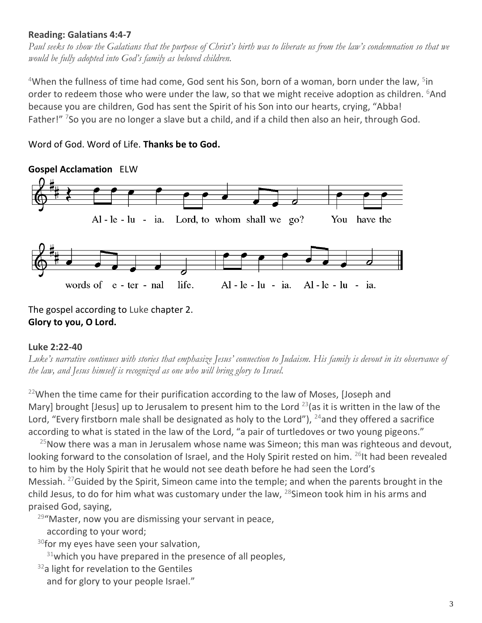# **Reading: Galatians 4:4-7**

*Paul seeks to show the Galatians that the purpose of Christ's birth was to liberate us from the law's condemnation so that we would be fully adopted into God's family as beloved children.*

 $4$ When the fullness of time had come, God sent his Son, born of a woman, born under the law,  $5$ in order to redeem those who were under the law, so that we might receive adoption as children. <sup>6</sup>And because you are children, God has sent the Spirit of his Son into our hearts, crying, "Abba! Father!" <sup>7</sup>So you are no longer a slave but a child, and if a child then also an heir, through God.

# Word of God. Word of Life. **Thanks be to God.**



The gospel according to Luke chapter 2. **Glory to you, O Lord.**

#### **Luke 2:22-40**

Luke's narrative continues with stories that emphasize Jesus' connection to Judaism. His family is devout in its observance of *the law, and Jesus himself is recognized as one who will bring glory to Israel.*

 $22$ When the time came for their purification according to the law of Moses, [Joseph and Mary] brought [Jesus] up to Jerusalem to present him to the Lord  $^{23}$ (as it is written in the law of the Lord, "Every firstborn male shall be designated as holy to the Lord"),  $^{24}$  and they offered a sacrifice according to what is stated in the law of the Lord, "a pair of turtledoves or two young pigeons."

 $25$ Now there was a man in Jerusalem whose name was Simeon; this man was righteous and devout, looking forward to the consolation of Israel, and the Holy Spirit rested on him. <sup>26</sup>It had been revealed to him by the Holy Spirit that he would not see death before he had seen the Lord's Messiah. <sup>27</sup>Guided by the Spirit, Simeon came into the temple; and when the parents brought in the child Jesus, to do for him what was customary under the law,  $^{28}$ Simeon took him in his arms and praised God, saying,

 $29^{\circ}$ Master, now you are dismissing your servant in peace,

according to your word;

<sup>30</sup>for my eyes have seen your salvation,

 $31$ which you have prepared in the presence of all peoples,

 $32a$  light for revelation to the Gentiles and for glory to your people Israel."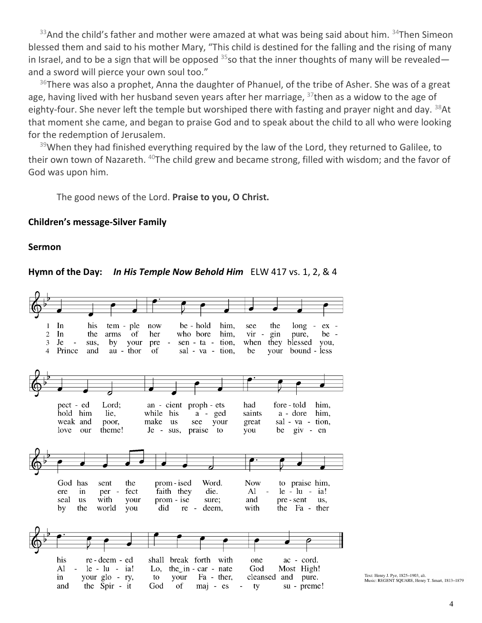$33$ And the child's father and mother were amazed at what was being said about him.  $34$ Then Simeon blessed them and said to his mother Mary, "This child is destined for the falling and the rising of many in Israel, and to be a sign that will be opposed  $35$  so that the inner thoughts of many will be revealed and a sword will pierce your own soul too."

 $36$ There was also a prophet, Anna the daughter of Phanuel, of the tribe of Asher. She was of a great age, having lived with her husband seven years after her marriage,  $37$ then as a widow to the age of eighty-four. She never left the temple but worshiped there with fasting and prayer night and day.  $38$ At that moment she came, and began to praise God and to speak about the child to all who were looking for the redemption of Jerusalem.

 $39$ When they had finished everything required by the law of the Lord, they returned to Galilee, to their own town of Nazareth. <sup>40</sup>The child grew and became strong, filled with wisdom; and the favor of God was upon him.

The good news of the Lord. **Praise to you, O Christ.**

#### **Children's message-Silver Family**

#### **Sermon**

#### **Hymn of the Day:** *In His Temple Now Behold Him*ELW 417 vs. 1, 2, & 4



Text: Henry J. Pye, 1825-1903, alt. Music: REGENT SQUARE, Henry T. Smart, 1813-1879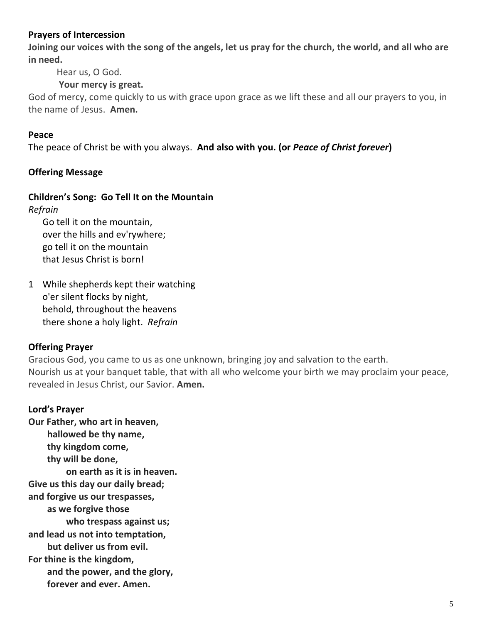## **Prayers of Intercession**

**Joining our voices with the song of the angels, let us pray for the church, the world, and all who are in need.**

Hear us, O God.

# **Your mercy is great.**

God of mercy, come quickly to us with grace upon grace as we lift these and all our prayers to you, in the name of Jesus. **Amen.**

## **Peace**

The peace of Christ be with you always. **And also with you. (or** *Peace of Christ forever***)**

# **Offering Message**

# **Children's Song: Go Tell It on the Mountain**

*Refrain*

Go tell it on the mountain, over the hills and ev'rywhere; go tell it on the mountain that Jesus Christ is born!

1 While shepherds kept their watching o'er silent flocks by night, behold, throughout the heavens there shone a holy light. *Refrain*

# **Offering Prayer**

Gracious God, you came to us as one unknown, bringing joy and salvation to the earth. Nourish us at your banquet table, that with all who welcome your birth we may proclaim your peace, revealed in Jesus Christ, our Savior. **Amen.**

# **Lord's Prayer**

**Our Father, who art in heaven, hallowed be thy name, thy kingdom come, thy will be done, on earth as it is in heaven. Give us this day our daily bread; and forgive us our trespasses, as we forgive those who trespass against us; and lead us not into temptation, but deliver us from evil. For thine is the kingdom, and the power, and the glory, forever and ever. Amen.**